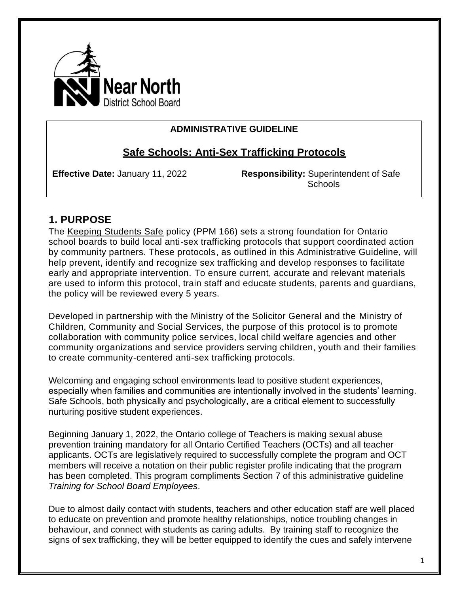

#### **ADMINISTRATIVE GUIDELINE**

# **Safe Schools: Anti-Sex Trafficking Protocols**

**Effective Date:** January 11, 2022 **Responsibility:** Superintendent of Safe Schools

### **1. PURPOSE**

The [Keeping Students Safe](https://www.ontario.ca/document/education-ontario-policy-and-program-direction/policyprogram-memorandum-166) policy (PPM 166) sets a strong foundation for Ontario school boards to build local anti-sex trafficking protocols that support coordinated action by community partners. These protocols, as outlined in this Administrative Guideline, will help prevent, identify and recognize sex trafficking and develop responses to facilitate early and appropriate intervention. To ensure current, accurate and relevant materials are used to inform this protocol, train staff and educate students, parents and guardians, the policy will be reviewed every 5 years.

Developed in partnership with the Ministry of the Solicitor General and the Ministry of Children, Community and Social Services, the purpose of this protocol is to promote collaboration with community police services, local child welfare agencies and other community organizations and service providers serving children, youth and their families to create community-centered anti-sex trafficking protocols.

Welcoming and engaging school environments lead to positive student experiences, especially when families and communities are intentionally involved in the students' learning. Safe Schools, both physically and psychologically, are a critical element to successfully nurturing positive student experiences.

Beginning January 1, 2022, the Ontario college of Teachers is making sexual abuse prevention training mandatory for all Ontario Certified Teachers (OCTs) and all teacher applicants. OCTs are legislatively required to successfully complete the program and OCT members will receive a notation on their public register profile indicating that the program has been completed. This program compliments Section 7 of this administrative guideline *Training for School Board Employees*.

Due to almost daily contact with students, teachers and other education staff are well placed to educate on prevention and promote healthy relationships, notice troubling changes in behaviour, and connect with students as caring adults.By training staff to recognize the signs of sex trafficking, they will be better equipped to identify the cues and safely intervene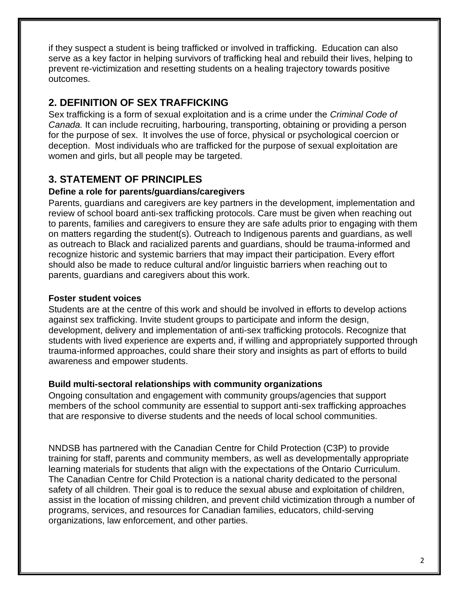if they suspect a student is being trafficked or involved in trafficking. Education can also serve as a key factor in helping survivors of trafficking heal and rebuild their lives, helping to prevent re-victimization and resetting students on a healing trajectory towards positive outcomes.

# **2. DEFINITION OF SEX TRAFFICKING**

Sex trafficking is a form of sexual exploitation and is a crime under the *Criminal Code of Canada.* It can include recruiting, harbouring, transporting, obtaining or providing a person for the purpose of sex. It involves the use of force, physical or psychological coercion or deception. Most individuals who are trafficked for the purpose of sexual exploitation are women and girls, but all people may be targeted.

# **3. STATEMENT OF PRINCIPLES**

#### **Define a role for parents/guardians/caregivers**

Parents, guardians and caregivers are key partners in the development, implementation and review of school board anti-sex trafficking protocols. Care must be given when reaching out to parents, families and caregivers to ensure they are safe adults prior to engaging with them on matters regarding the student(s). Outreach to Indigenous parents and guardians, as well as outreach to Black and racialized parents and guardians, should be trauma-informed and recognize historic and systemic barriers that may impact their participation. Every effort should also be made to reduce cultural and/or linguistic barriers when reaching out to parents, guardians and caregivers about this work.

#### **Foster student voices**

Students are at the centre of this work and should be involved in efforts to develop actions against sex trafficking. Invite student groups to participate and inform the design, development, delivery and implementation of anti-sex trafficking protocols. Recognize that students with lived experience are experts and, if willing and appropriately supported through trauma-informed approaches, could share their story and insights as part of efforts to build awareness and empower students.

#### **Build multi-sectoral relationships with community organizations**

Ongoing consultation and engagement with community groups/agencies that support members of the school community are essential to support anti-sex trafficking approaches that are responsive to diverse students and the needs of local school communities.

NNDSB has partnered with the Canadian Centre for Child Protection (C3P) to provide training for staff, parents and community members, as well as developmentally appropriate learning materials for students that align with the expectations of the Ontario Curriculum. The Canadian Centre for Child Protection is a national charity dedicated to the personal safety of all children. Their goal is to reduce the sexual abuse and exploitation of children, assist in the location of missing children, and prevent child victimization through a number of programs, services, and resources for Canadian families, educators, child-serving organizations, law enforcement, and other parties.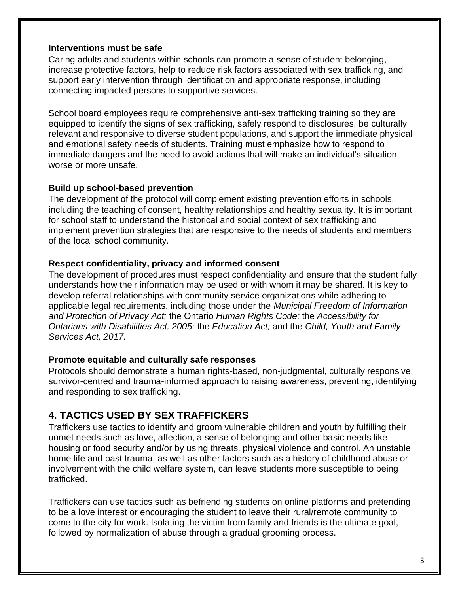#### **Interventions must be safe**

Caring adults and students within schools can promote a sense of student belonging, increase protective factors, help to reduce risk factors associated with sex trafficking, and support early intervention through identification and appropriate response, including connecting impacted persons to supportive services.

School board employees require comprehensive anti-sex trafficking training so they are equipped to identify the signs of sex trafficking, safely respond to disclosures, be culturally relevant and responsive to diverse student populations, and support the immediate physical and emotional safety needs of students. Training must emphasize how to respond to immediate dangers and the need to avoid actions that will make an individual's situation worse or more unsafe.

#### **Build up school-based prevention**

The development of the protocol will complement existing prevention efforts in schools, including the teaching of consent, healthy relationships and healthy sexuality. It is important for school staff to understand the historical and social context of sex trafficking and implement prevention strategies that are responsive to the needs of students and members of the local school community.

#### **Respect confidentiality, privacy and informed consent**

The development of procedures must respect confidentiality and ensure that the student fully understands how their information may be used or with whom it may be shared. It is key to develop referral relationships with community service organizations while adhering to applicable legal requirements, including those under the *Municipal Freedom of Information and Protection of Privacy Act;* the Ontario *Human Rights Code;* the *Accessibility for Ontarians with Disabilities Act, 2005;* the *Education Act;* and the *Child, Youth and Family Services Act, 2017.* 

#### **Promote equitable and culturally safe responses**

Protocols should demonstrate a human rights-based, non-judgmental, culturally responsive, survivor-centred and trauma-informed approach to raising awareness, preventing, identifying and responding to sex trafficking.

### **4. TACTICS USED BY SEX TRAFFICKERS**

Traffickers use tactics to identify and groom vulnerable children and youth by fulfilling their unmet needs such as love, affection, a sense of belonging and other basic needs like housing or food security and/or by using threats, physical violence and control. An unstable home life and past trauma, as well as other factors such as a history of childhood abuse or involvement with the child welfare system, can leave students more susceptible to being trafficked.

Traffickers can use tactics such as befriending students on online platforms and pretending to be a love interest or encouraging the student to leave their rural/remote community to come to the city for work. Isolating the victim from family and friends is the ultimate goal, followed by normalization of abuse through a gradual grooming process.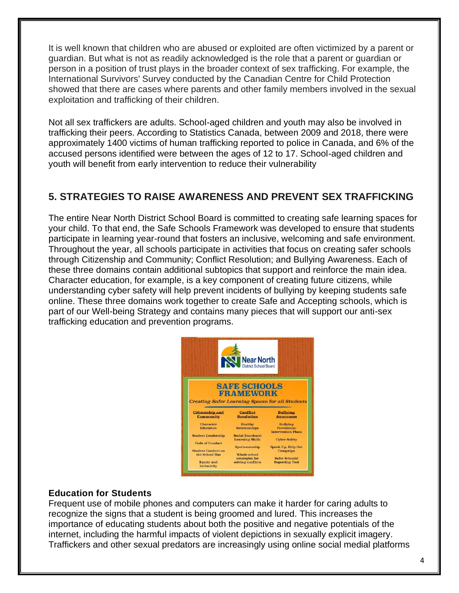It is well known that children who are abused or exploited are often victimized by a parent or guardian. But what is not as readily acknowledged is the role that a parent or guardian or person in a position of trust plays in the broader context of sex trafficking. For example, the International Survivors' Survey conducted by the Canadian Centre for Child Protection showed that there are cases where parents and other family members involved in the sexual exploitation and trafficking of their children.

Not all sex traffickers are adults. School-aged children and youth may also be involved in trafficking their peers. According to Statistics Canada, between 2009 and 2018, there were approximately 1400 victims of human trafficking reported to police in Canada, and 6% of the accused persons identified were between the ages of 12 to 17. School-aged children and youth will benefit from early intervention to reduce their vulnerability

### **5. STRATEGIES TO RAISE AWARENESS AND PREVENT SEX TRAFFICKING**

The entire Near North District School Board is committed to creating safe learning spaces for your child. To that end, the Safe Schools Framework was developed to ensure that students participate in learning year-round that fosters an inclusive, welcoming and safe environment. Throughout the year, all schools participate in activities that focus on creating safer schools through Citizenship and Community; Conflict Resolution; and Bullying Awareness. Each of these three domains contain additional subtopics that support and reinforce the main idea. Character education, for example, is a key component of creating future citizens, while understanding cyber safety will help prevent incidents of bullying by keeping students safe online. These three domains work together to create Safe and Accepting schools, which is part of our Well-being Strategy and contains many pieces that will support our anti-sex trafficking education and prevention programs.



#### **Education for Students**

Frequent use of mobile phones and computers can make it harder for caring adults to recognize the signs that a student is being groomed and lured. This increases the importance of educating students about both the positive and negative potentials of the internet, including the harmful impacts of violent depictions in sexually explicit imagery. Traffickers and other sexual predators are increasingly using online social medial platforms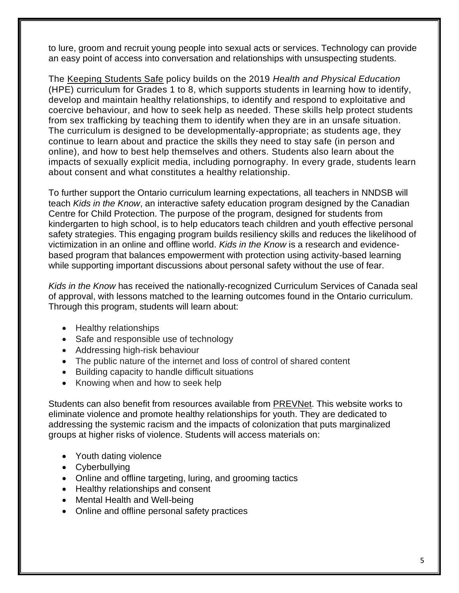to lure, groom and recruit young people into sexual acts or services. Technology can provide an easy point of access into conversation and relationships with unsuspecting students.

The [Keeping Students Safe](https://www.ontario.ca/document/education-ontario-policy-and-program-direction/policyprogram-memorandum-166) policy builds on the 2019 *Health and Physical Education* (HPE) curriculum for Grades 1 to 8, which supports students in learning how to identify, develop and maintain healthy relationships, to identify and respond to exploitative and coercive behaviour, and how to seek help as needed. These skills help protect students from sex trafficking by teaching them to identify when they are in an unsafe situation. The curriculum is designed to be developmentally-appropriate; as students age, they continue to learn about and practice the skills they need to stay safe (in person and online), and how to best help themselves and others. Students also learn about the impacts of sexually explicit media, including pornography. In every grade, students learn about consent and what constitutes a healthy relationship.

To further support the Ontario curriculum learning expectations, all teachers in NNDSB will teach *Kids in the Know*, an interactive safety education program designed by the Canadian Centre for Child Protection. The purpose of the program, designed for students from kindergarten to high school, is to help educators teach children and youth effective personal safety strategies. This engaging program builds resiliency skills and reduces the likelihood of victimization in an online and offline world. *Kids in the Know* is a research and evidencebased program that balances empowerment with protection using activity-based learning while supporting important discussions about personal safety without the use of fear.

*Kids in the Know* has received the nationally-recognized Curriculum Services of Canada seal of approval, with lessons matched to the learning outcomes found in the Ontario curriculum. Through this program, students will learn about:

- Healthy relationships
- Safe and responsible use of technology
- Addressing high-risk behaviour
- The public nature of the internet and loss of control of shared content
- Building capacity to handle difficult situations
- Knowing when and how to seek help

Students can also benefit from resources available from [PREVNet.](https://www.prevnet.ca/resources) This website works to eliminate violence and promote healthy relationships for youth. They are dedicated to addressing the systemic racism and the impacts of colonization that puts marginalized groups at higher risks of violence. Students will access materials on:

- Youth dating violence
- Cyberbullying
- Online and offline targeting, luring, and grooming tactics
- Healthy relationships and consent
- Mental Health and Well-being
- Online and offline personal safety practices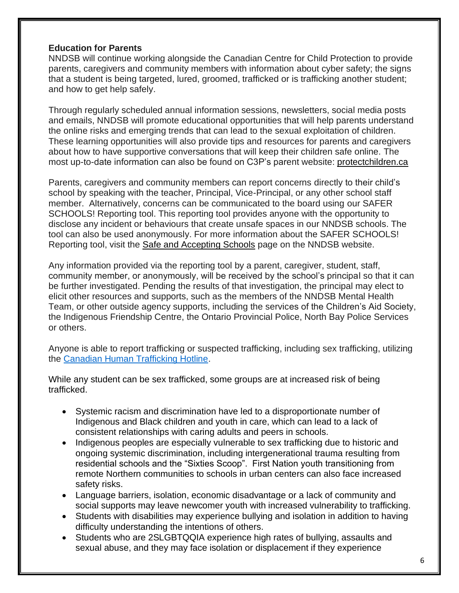#### **Education for Parents**

NNDSB will continue working alongside the Canadian Centre for Child Protection to provide parents, caregivers and community members with information about cyber safety; the signs that a student is being targeted, lured, groomed, trafficked or is trafficking another student; and how to get help safely.

Through regularly scheduled annual information sessions, newsletters, social media posts and emails, NNDSB will promote educational opportunities that will help parents understand the online risks and emerging trends that can lead to the sexual exploitation of children. These learning opportunities will also provide tips and resources for parents and caregivers about how to have supportive conversations that will keep their children safe online. The most up-to-date information can also be found on C3P's parent website: [protectchildren.ca](https://protectchildren.ca/en/)

Parents, caregivers and community members can report concerns directly to their child's school by speaking with the teacher, Principal, Vice-Principal, or any other school staff member. Alternatively, concerns can be communicated to the board using our SAFER SCHOOLS! Reporting tool. This reporting tool provides anyone with the opportunity to disclose any incident or behaviours that create unsafe spaces in our NNDSB schools. The tool can also be used anonymously. For more information about the SAFER SCHOOLS! Reporting tool, visit the [Safe and Accepting Schools](https://www.nearnorthschools.ca/programs/equity-well-being/safe-and-accepting-schools/) page on the NNDSB website.

Any information provided via the reporting tool by a parent, caregiver, student, staff, community member, or anonymously, will be received by the school's principal so that it can be further investigated. Pending the results of that investigation, the principal may elect to elicit other resources and supports, such as the members of the NNDSB Mental Health Team, or other outside agency supports, including the services of the Children's Aid Society, the Indigenous Friendship Centre, the Ontario Provincial Police, North Bay Police Services or others.

Anyone is able to report trafficking or suspected trafficking, including sex trafficking, utilizing the [Canadian Human Trafficking Hotline.](https://www.canadianhumantraffickinghotline.ca/)

While any student can be sex trafficked, some groups are at increased risk of being trafficked.

- Systemic racism and discrimination have led to a disproportionate number of Indigenous and Black children and youth in care, which can lead to a lack of consistent relationships with caring adults and peers in schools.
- Indigenous peoples are especially vulnerable to sex trafficking due to historic and ongoing systemic discrimination, including intergenerational trauma resulting from residential schools and the "Sixties Scoop". First Nation youth transitioning from remote Northern communities to schools in urban centers can also face increased safety risks.
- Language barriers, isolation, economic disadvantage or a lack of community and social supports may leave newcomer youth with increased vulnerability to trafficking.
- Students with disabilities may experience bullying and isolation in addition to having difficulty understanding the intentions of others.
- Students who are 2SLGBTQQIA experience high rates of bullying, assaults and sexual abuse, and they may face isolation or displacement if they experience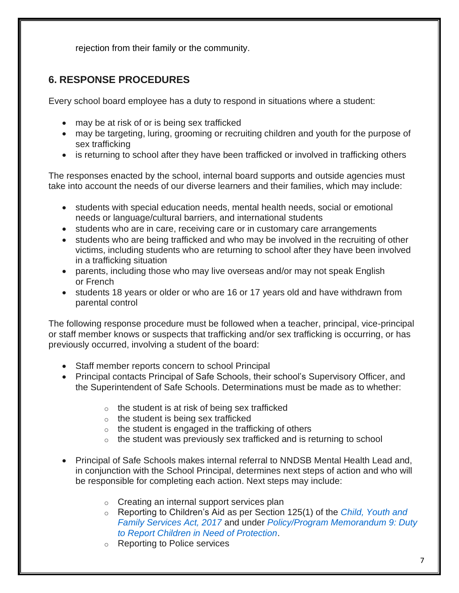rejection from their family or the community.

# **6. RESPONSE PROCEDURES**

Every school board employee has a duty to respond in situations where a student:

- may be at risk of or is being sex trafficked
- may be targeting, luring, grooming or recruiting children and youth for the purpose of sex trafficking
- is returning to school after they have been trafficked or involved in trafficking others

The responses enacted by the school, internal board supports and outside agencies must take into account the needs of our diverse learners and their families, which may include:

- students with special education needs, mental health needs, social or emotional needs or language/cultural barriers, and international students
- students who are in care, receiving care or in customary care arrangements
- students who are being trafficked and who may be involved in the recruiting of other victims, including students who are returning to school after they have been involved in a trafficking situation
- parents, including those who may live overseas and/or may not speak English or French
- students 18 years or older or who are 16 or 17 years old and have withdrawn from parental control

The following response procedure must be followed when a teacher, principal, vice-principal or staff member knows or suspects that trafficking and/or sex trafficking is occurring, or has previously occurred, involving a student of the board:

- Staff member reports concern to school Principal
- Principal contacts Principal of Safe Schools, their school's Supervisory Officer, and the Superintendent of Safe Schools. Determinations must be made as to whether:
	- $\circ$  the student is at risk of being sex trafficked
	- o the student is being sex trafficked
	- o the student is engaged in the trafficking of others
	- $\circ$  the student was previously sex trafficked and is returning to school
- Principal of Safe Schools makes internal referral to NNDSB Mental Health Lead and, in conjunction with the School Principal, determines next steps of action and who will be responsible for completing each action. Next steps may include:
	- o Creating an internal support services plan
	- o Reporting to Children's Aid as per Section 125(1) of the *[Child, Youth and](https://www.ontario.ca/laws/statute/17c14)  [Family Services Act, 2017](https://www.ontario.ca/laws/statute/17c14)* and under *[Policy/Program Memorandum 9: Duty](https://www.ontario.ca/document/education-ontario-policy-and-program-direction/policyprogram-memorandum-9)  [to Report Children in Need of Protection](https://www.ontario.ca/document/education-ontario-policy-and-program-direction/policyprogram-memorandum-9)*.
	- o Reporting to Police services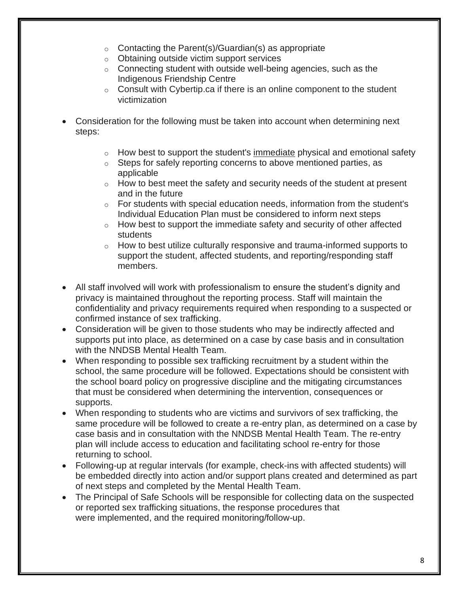- $\circ$  Contacting the Parent(s)/Guardian(s) as appropriate
- o Obtaining outside victim support services
- o Connecting student with outside well-being agencies, such as the Indigenous Friendship Centre
- $\circ$  Consult with Cybertip.ca if there is an online component to the student victimization
- Consideration for the following must be taken into account when determining next steps:
	- o How best to support the student's immediate physical and emotional safety
	- o Steps for safely reporting concerns to above mentioned parties, as applicable
	- $\circ$  How to best meet the safety and security needs of the student at present and in the future
	- $\circ$  For students with special education needs, information from the student's Individual Education Plan must be considered to inform next steps
	- $\circ$  How best to support the immediate safety and security of other affected students
	- $\circ$  How to best utilize culturally responsive and trauma-informed supports to support the student, affected students, and reporting/responding staff members.
- All staff involved will work with professionalism to ensure the student's dignity and privacy is maintained throughout the reporting process. Staff will maintain the confidentiality and privacy requirements required when responding to a suspected or confirmed instance of sex trafficking.
- Consideration will be given to those students who may be indirectly affected and supports put into place, as determined on a case by case basis and in consultation with the NNDSB Mental Health Team.
- When responding to possible sex trafficking recruitment by a student within the school, the same procedure will be followed. Expectations should be consistent with the school board policy on progressive discipline and the mitigating circumstances that must be considered when determining the intervention, consequences or supports.
- When responding to students who are victims and survivors of sex trafficking, the same procedure will be followed to create a re-entry plan, as determined on a case by case basis and in consultation with the NNDSB Mental Health Team. The re-entry plan will include access to education and facilitating school re-entry for those returning to school.
- Following-up at regular intervals (for example, check-ins with affected students) will be embedded directly into action and/or support plans created and determined as part of next steps and completed by the Mental Health Team.
- The Principal of Safe Schools will be responsible for collecting data on the suspected or reported sex trafficking situations, the response procedures that were implemented, and the required monitoring/follow-up.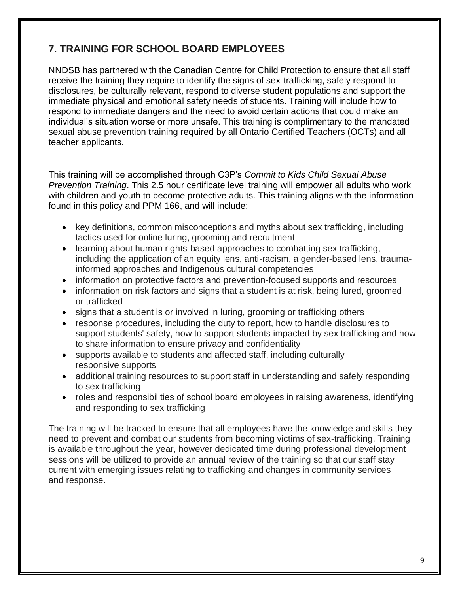# **7. TRAINING FOR SCHOOL BOARD EMPLOYEES**

NNDSB has partnered with the Canadian Centre for Child Protection to ensure that all staff receive the training they require to identify the signs of sex-trafficking, safely respond to disclosures, be culturally relevant, respond to diverse student populations and support the immediate physical and emotional safety needs of students. Training will include how to respond to immediate dangers and the need to avoid certain actions that could make an individual's situation worse or more unsafe. This training is complimentary to the mandated sexual abuse prevention training required by all Ontario Certified Teachers (OCTs) and all teacher applicants.

This training will be accomplished through C3P's *Commit to Kids Child Sexual Abuse Prevention Training*. This 2.5 hour certificate level training will empower all adults who work with children and youth to become protective adults. This training aligns with the information found in this policy and PPM 166, and will include:

- key definitions, common misconceptions and myths about sex trafficking, including tactics used for online luring, grooming and recruitment
- learning about human rights-based approaches to combatting sex trafficking. including the application of an equity lens, anti-racism, a gender-based lens, traumainformed approaches and Indigenous cultural competencies
- information on protective factors and prevention-focused supports and resources
- information on risk factors and signs that a student is at risk, being lured, groomed or trafficked
- signs that a student is or involved in luring, grooming or trafficking others
- response procedures, including the duty to report, how to handle disclosures to support students' safety, how to support students impacted by sex trafficking and how to share information to ensure privacy and confidentiality
- supports available to students and affected staff, including culturally responsive supports
- additional training resources to support staff in understanding and safely responding to sex trafficking
- roles and responsibilities of school board employees in raising awareness, identifying and responding to sex trafficking

The training will be tracked to ensure that all employees have the knowledge and skills they need to prevent and combat our students from becoming victims of sex-trafficking. Training is available throughout the year, however dedicated time during professional development sessions will be utilized to provide an annual review of the training so that our staff stay current with emerging issues relating to trafficking and changes in community services and response.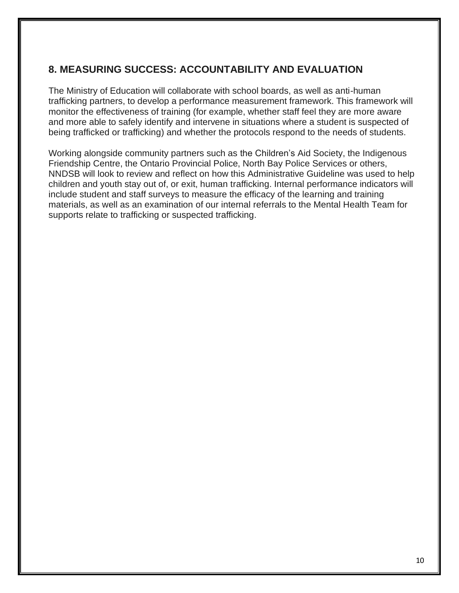### **8. MEASURING SUCCESS: ACCOUNTABILITY AND EVALUATION**

The Ministry of Education will collaborate with school boards, as well as anti-human trafficking partners, to develop a performance measurement framework. This framework will monitor the effectiveness of training (for example, whether staff feel they are more aware and more able to safely identify and intervene in situations where a student is suspected of being trafficked or trafficking) and whether the protocols respond to the needs of students.

Working alongside community partners such as the Children's Aid Society, the Indigenous Friendship Centre, the Ontario Provincial Police, North Bay Police Services or others, NNDSB will look to review and reflect on how this Administrative Guideline was used to help children and youth stay out of, or exit, human trafficking. Internal performance indicators will include student and staff surveys to measure the efficacy of the learning and training materials, as well as an examination of our internal referrals to the Mental Health Team for supports relate to trafficking or suspected trafficking.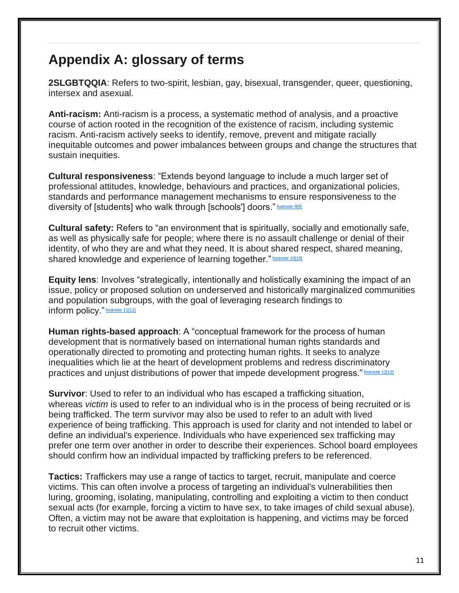# **Appendix A: glossary of terms**

**2SLGBTQQIA**: Refers to two-spirit, lesbian, gay, bisexual, transgender, queer, questioning, intersex and asexual.

**Anti-racism:** Anti-racism is a process, a systematic method of analysis, and a proactive course of action rooted in the recognition of the existence of racism, including systemic racism. Anti-racism actively seeks to identify, remove, prevent and mitigate racially inequitable outcomes and power imbalances between groups and change the structures that sustain inequities.

**Cultural responsiveness**: "Extends beyond language to include a much larger set of professional attitudes, knowledge, behaviours and practices, and organizational policies, standards and performance management mechanisms to ensure responsiveness to the diversity of [students] who walk through [schools'] doors." [footnote 9\[9\]](https://www.ontario.ca/#foot-9)

**Cultural safety:** Refers to "an environment that is spiritually, socially and emotionally safe, as well as physically safe for people; where there is no assault challenge or denial of their identity, of who they are and what they need. It is about shared respect, shared meaning, shared knowledge and experience of learning together." [footnote 10\[10\]](https://www.ontario.ca/#foot-10)

**Equity lens**: Involves "strategically, intentionally and holistically examining the impact of an issue, policy or proposed solution on underserved and historically marginalized communities and population subgroups, with the goal of leveraging research findings to inform policy." **[footnote 11\[11\]](https://www.ontario.ca/#foot-11)** 

**Human rights-based approach**: A "conceptual framework for the process of human development that is normatively based on international human rights standards and operationally directed to promoting and protecting human rights. It seeks to analyze inequalities which lie at the heart of development problems and redress discriminatory practices and unjust distributions of power that impede development progress." [footnote 12\[12\]](https://www.ontario.ca/#foot-12)

**Survivor**: Used to refer to an individual who has escaped a trafficking situation, whereas *victim* is used to refer to an individual who is in the process of being recruited or is being trafficked. The term survivor may also be used to refer to an adult with lived experience of being trafficking. This approach is used for clarity and not intended to label or define an individual's experience. Individuals who have experienced sex trafficking may prefer one term over another in order to describe their experiences. School board employees should confirm how an individual impacted by trafficking prefers to be referenced.

**Tactics:** Traffickers may use a range of tactics to target, recruit, manipulate and coerce victims. This can often involve a process of targeting an individual's vulnerabilities then luring, grooming, isolating, manipulating, controlling and exploiting a victim to then conduct sexual acts (for example, forcing a victim to have sex, to take images of child sexual abuse). Often, a victim may not be aware that exploitation is happening, and victims may be forced to recruit other victims.